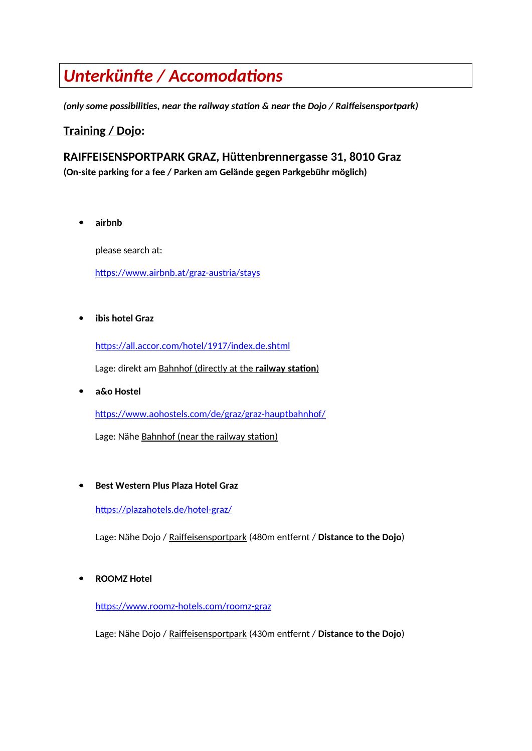# *Unterkünfte / Accomodations*

*(only some possibilities, near the railway station & near the Dojo / Raiffeisensportpark)*

# **Training / Dojo:**

# **RAIFFEISENSPORTPARK GRAZ, Hüttenbrennergasse 31, 8010 Graz (On-site parking for a fee / Parken am Gelände gegen Parkgebühr möglich)**

**airbnb**

please search at:

<https://www.airbnb.at/graz-austria/stays>

**ibis hotel Graz**

https://all.accor.com/hotel/1917/index.de.shtml

Lage: direkt am **Bahnhof (directly at the railway station)** 

**a&o Hostel**

<https://www.aohostels.com/de/graz/graz-hauptbahnhof/>

Lage: Nähe Bahnhof (near the railway station)

**Best Western Plus Plaza Hotel Graz**

https://plazahotels.de/hotel-graz/

Lage: Nähe Dojo / Raiffeisensportpark (480m entfernt / **Distance to the Dojo**)

**ROOMZ Hotel**

<https://www.roomz-hotels.com/roomz-graz>

Lage: Nähe Dojo / Raiffeisensportpark (430m entfernt / **Distance to the Dojo**)